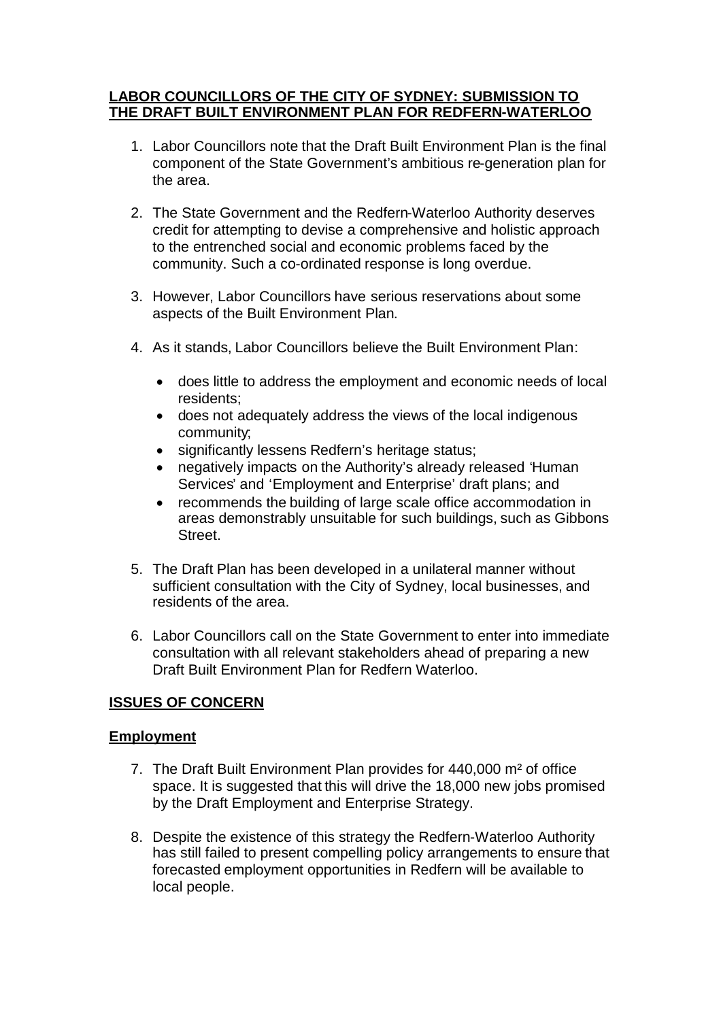# **LABOR COUNCILLORS OF THE CITY OF SYDNEY: SUBMISSION TO THE DRAFT BUILT ENVIRONMENT PLAN FOR REDFERN-WATERLOO**

- 1. Labor Councillors note that the Draft Built Environment Plan is the final component of the State Government's ambitious re-generation plan for the area.
- 2. The State Government and the Redfern-Waterloo Authority deserves credit for attempting to devise a comprehensive and holistic approach to the entrenched social and economic problems faced by the community. Such a co-ordinated response is long overdue.
- 3. However, Labor Councillors have serious reservations about some aspects of the Built Environment Plan.
- 4. As it stands, Labor Councillors believe the Built Environment Plan:
	- does little to address the employment and economic needs of local residents;
	- does not adequately address the views of the local indigenous community;
	- significantly lessens Redfern's heritage status;
	- negatively impacts on the Authority's already released 'Human Services' and 'Employment and Enterprise' draft plans; and
	- recommends the building of large scale office accommodation in areas demonstrably unsuitable for such buildings, such as Gibbons Street.
- 5. The Draft Plan has been developed in a unilateral manner without sufficient consultation with the City of Sydney, local businesses, and residents of the area.
- 6. Labor Councillors call on the State Government to enter into immediate consultation with all relevant stakeholders ahead of preparing a new Draft Built Environment Plan for Redfern Waterloo.

# **ISSUES OF CONCERN**

# **Employment**

- 7. The Draft Built Environment Plan provides for 440,000 m² of office space. It is suggested that this will drive the 18,000 new jobs promised by the Draft Employment and Enterprise Strategy.
- 8. Despite the existence of this strategy the Redfern-Waterloo Authority has still failed to present compelling policy arrangements to ensure that forecasted employment opportunities in Redfern will be available to local people.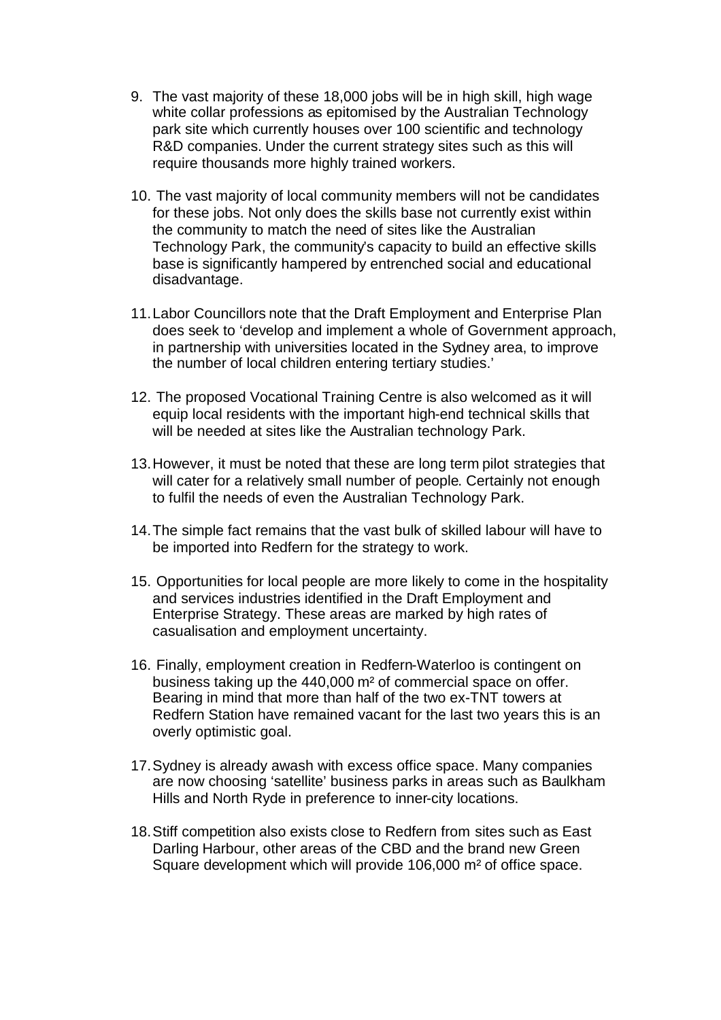- 9. The vast majority of these 18,000 jobs will be in high skill, high wage white collar professions as epitomised by the Australian Technology park site which currently houses over 100 scientific and technology R&D companies. Under the current strategy sites such as this will require thousands more highly trained workers.
- 10. The vast majority of local community members will not be candidates for these jobs. Not only does the skills base not currently exist within the community to match the need of sites like the Australian Technology Park, the community's capacity to build an effective skills base is significantly hampered by entrenched social and educational disadvantage.
- 11.Labor Councillors note that the Draft Employment and Enterprise Plan does seek to 'develop and implement a whole of Government approach, in partnership with universities located in the Sydney area, to improve the number of local children entering tertiary studies.'
- 12. The proposed Vocational Training Centre is also welcomed as it will equip local residents with the important high-end technical skills that will be needed at sites like the Australian technology Park.
- 13.However, it must be noted that these are long term pilot strategies that will cater for a relatively small number of people. Certainly not enough to fulfil the needs of even the Australian Technology Park.
- 14.The simple fact remains that the vast bulk of skilled labour will have to be imported into Redfern for the strategy to work.
- 15. Opportunities for local people are more likely to come in the hospitality and services industries identified in the Draft Employment and Enterprise Strategy. These areas are marked by high rates of casualisation and employment uncertainty.
- 16. Finally, employment creation in Redfern-Waterloo is contingent on business taking up the 440,000 m² of commercial space on offer. Bearing in mind that more than half of the two ex-TNT towers at Redfern Station have remained vacant for the last two years this is an overly optimistic goal.
- 17.Sydney is already awash with excess office space. Many companies are now choosing 'satellite' business parks in areas such as Baulkham Hills and North Ryde in preference to inner-city locations.
- 18.Stiff competition also exists close to Redfern from sites such as East Darling Harbour, other areas of the CBD and the brand new Green Square development which will provide 106,000 m² of office space.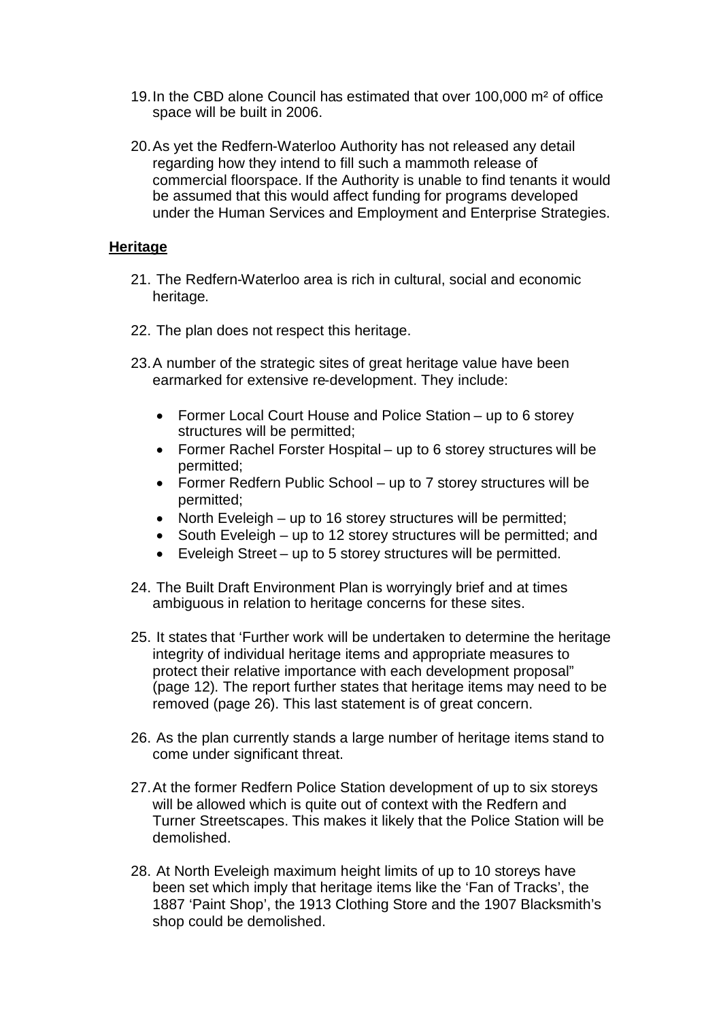- 19.In the CBD alone Council has estimated that over 100,000 m² of office space will be built in 2006.
- 20.As yet the Redfern-Waterloo Authority has not released any detail regarding how they intend to fill such a mammoth release of commercial floorspace. If the Authority is unable to find tenants it would be assumed that this would affect funding for programs developed under the Human Services and Employment and Enterprise Strategies.

### **Heritage**

- 21. The Redfern-Waterloo area is rich in cultural, social and economic heritage.
- 22. The plan does not respect this heritage.
- 23.A number of the strategic sites of great heritage value have been earmarked for extensive re-development. They include:
	- Former Local Court House and Police Station up to 6 storey structures will be permitted;
	- Former Rachel Forster Hospital up to 6 storey structures will be permitted;
	- Former Redfern Public School up to 7 storey structures will be permitted;
	- North Eveleigh up to 16 storey structures will be permitted;
	- South Eveleigh up to 12 storey structures will be permitted; and
	- Eveleigh Street up to 5 storey structures will be permitted.
- 24. The Built Draft Environment Plan is worryingly brief and at times ambiguous in relation to heritage concerns for these sites.
- 25. It states that 'Further work will be undertaken to determine the heritage integrity of individual heritage items and appropriate measures to protect their relative importance with each development proposal" (page 12). The report further states that heritage items may need to be removed (page 26). This last statement is of great concern.
- 26. As the plan currently stands a large number of heritage items stand to come under significant threat.
- 27.At the former Redfern Police Station development of up to six storeys will be allowed which is quite out of context with the Redfern and Turner Streetscapes. This makes it likely that the Police Station will be demolished.
- 28. At North Eveleigh maximum height limits of up to 10 storeys have been set which imply that heritage items like the 'Fan of Tracks', the 1887 'Paint Shop', the 1913 Clothing Store and the 1907 Blacksmith's shop could be demolished.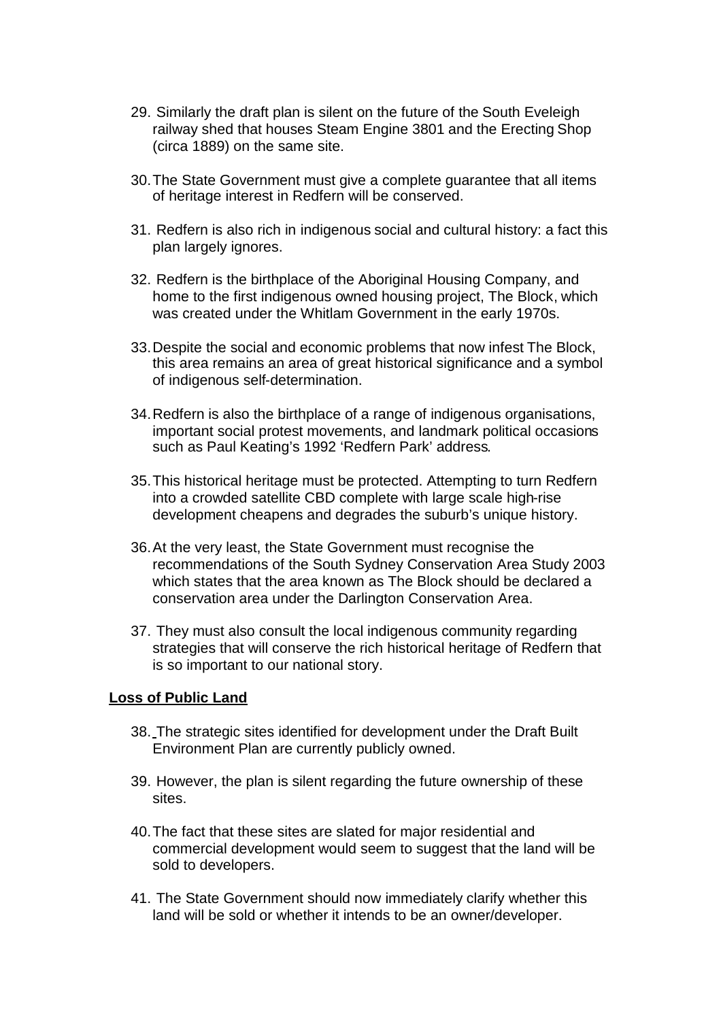- 29. Similarly the draft plan is silent on the future of the South Eveleigh railway shed that houses Steam Engine 3801 and the Erecting Shop (circa 1889) on the same site.
- 30.The State Government must give a complete guarantee that all items of heritage interest in Redfern will be conserved.
- 31. Redfern is also rich in indigenous social and cultural history: a fact this plan largely ignores.
- 32. Redfern is the birthplace of the Aboriginal Housing Company, and home to the first indigenous owned housing project, The Block, which was created under the Whitlam Government in the early 1970s.
- 33.Despite the social and economic problems that now infest The Block, this area remains an area of great historical significance and a symbol of indigenous self-determination.
- 34.Redfern is also the birthplace of a range of indigenous organisations, important social protest movements, and landmark political occasions such as Paul Keating's 1992 'Redfern Park' address.
- 35.This historical heritage must be protected. Attempting to turn Redfern into a crowded satellite CBD complete with large scale high-rise development cheapens and degrades the suburb's unique history.
- 36.At the very least, the State Government must recognise the recommendations of the South Sydney Conservation Area Study 2003 which states that the area known as The Block should be declared a conservation area under the Darlington Conservation Area.
- 37. They must also consult the local indigenous community regarding strategies that will conserve the rich historical heritage of Redfern that is so important to our national story.

#### **Loss of Public Land**

- 38. The strategic sites identified for development under the Draft Built Environment Plan are currently publicly owned.
- 39. However, the plan is silent regarding the future ownership of these sites.
- 40.The fact that these sites are slated for major residential and commercial development would seem to suggest that the land will be sold to developers.
- 41. The State Government should now immediately clarify whether this land will be sold or whether it intends to be an owner/developer.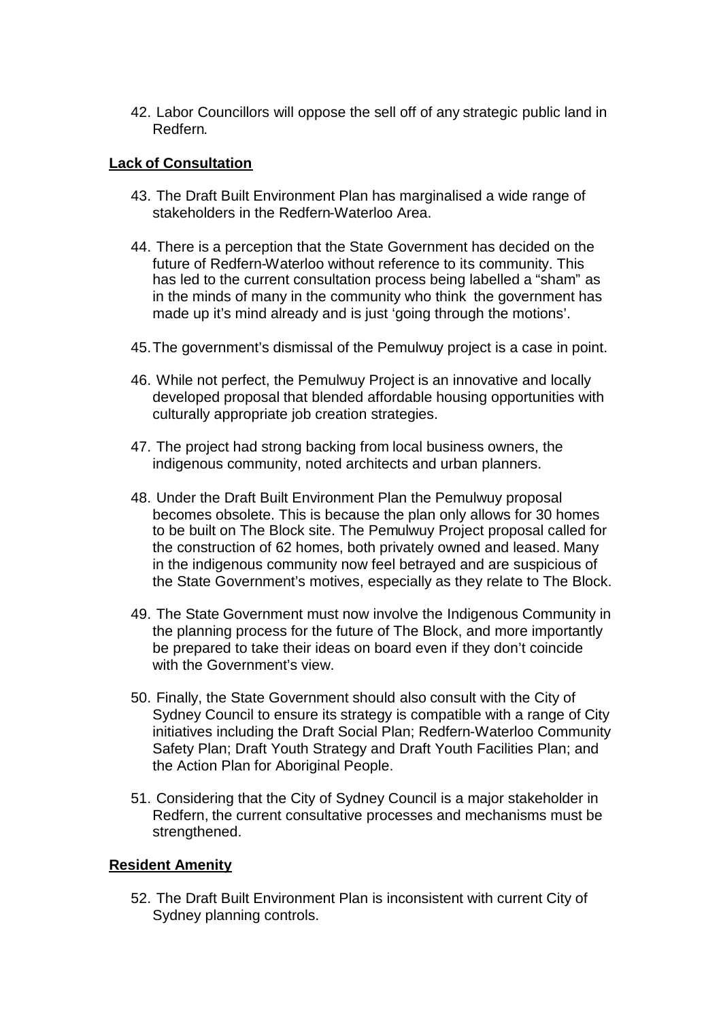42. Labor Councillors will oppose the sell off of any strategic public land in Redfern.

# **Lack of Consultation**

- 43. The Draft Built Environment Plan has marginalised a wide range of stakeholders in the Redfern-Waterloo Area.
- 44. There is a perception that the State Government has decided on the future of Redfern-Waterloo without reference to its community. This has led to the current consultation process being labelled a "sham" as in the minds of many in the community who think the government has made up it's mind already and is just 'going through the motions'.
- 45.The government's dismissal of the Pemulwuy project is a case in point.
- 46. While not perfect, the Pemulwuy Project is an innovative and locally developed proposal that blended affordable housing opportunities with culturally appropriate job creation strategies.
- 47. The project had strong backing from local business owners, the indigenous community, noted architects and urban planners.
- 48. Under the Draft Built Environment Plan the Pemulwuy proposal becomes obsolete. This is because the plan only allows for 30 homes to be built on The Block site. The Pemulwuy Project proposal called for the construction of 62 homes, both privately owned and leased. Many in the indigenous community now feel betrayed and are suspicious of the State Government's motives, especially as they relate to The Block.
- 49. The State Government must now involve the Indigenous Community in the planning process for the future of The Block, and more importantly be prepared to take their ideas on board even if they don't coincide with the Government's view.
- 50. Finally, the State Government should also consult with the City of Sydney Council to ensure its strategy is compatible with a range of City initiatives including the Draft Social Plan; Redfern-Waterloo Community Safety Plan; Draft Youth Strategy and Draft Youth Facilities Plan; and the Action Plan for Aboriginal People.
- 51. Considering that the City of Sydney Council is a major stakeholder in Redfern, the current consultative processes and mechanisms must be strengthened.

# **Resident Amenity**

52. The Draft Built Environment Plan is inconsistent with current City of Sydney planning controls.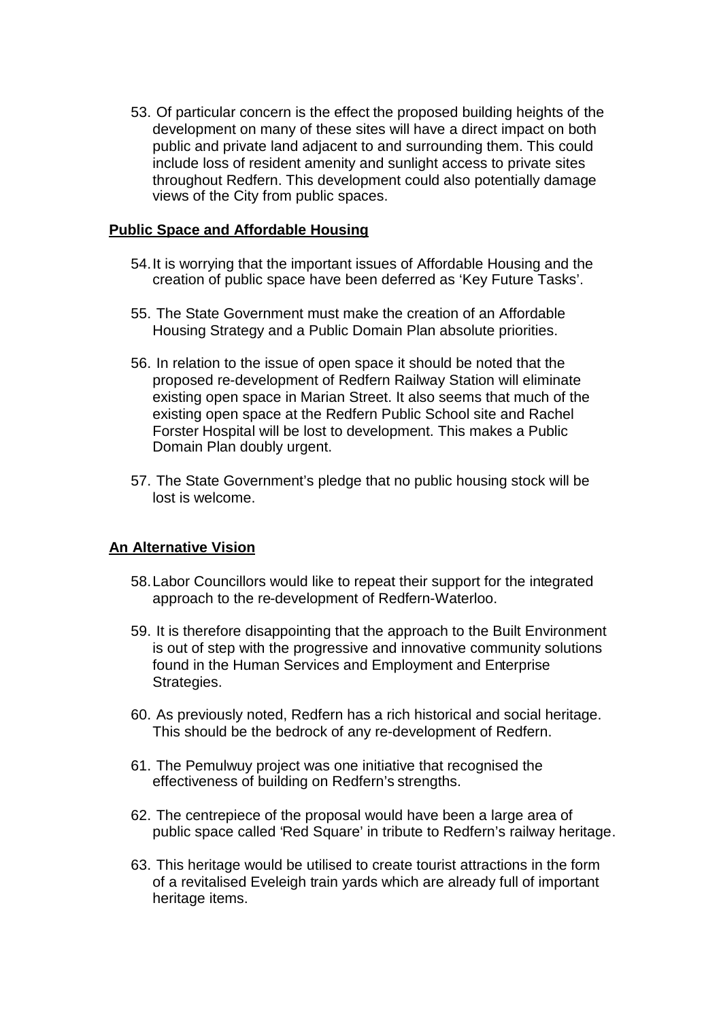53. Of particular concern is the effect the proposed building heights of the development on many of these sites will have a direct impact on both public and private land adjacent to and surrounding them. This could include loss of resident amenity and sunlight access to private sites throughout Redfern. This development could also potentially damage views of the City from public spaces.

### **Public Space and Affordable Housing**

- 54.It is worrying that the important issues of Affordable Housing and the creation of public space have been deferred as 'Key Future Tasks'.
- 55. The State Government must make the creation of an Affordable Housing Strategy and a Public Domain Plan absolute priorities.
- 56. In relation to the issue of open space it should be noted that the proposed re-development of Redfern Railway Station will eliminate existing open space in Marian Street. It also seems that much of the existing open space at the Redfern Public School site and Rachel Forster Hospital will be lost to development. This makes a Public Domain Plan doubly urgent.
- 57. The State Government's pledge that no public housing stock will be lost is welcome.

# **An Alternative Vision**

- 58.Labor Councillors would like to repeat their support for the integrated approach to the re-development of Redfern-Waterloo.
- 59. It is therefore disappointing that the approach to the Built Environment is out of step with the progressive and innovative community solutions found in the Human Services and Employment and Enterprise Strategies.
- 60. As previously noted, Redfern has a rich historical and social heritage. This should be the bedrock of any re-development of Redfern.
- 61. The Pemulwuy project was one initiative that recognised the effectiveness of building on Redfern's strengths.
- 62. The centrepiece of the proposal would have been a large area of public space called 'Red Square' in tribute to Redfern's railway heritage.
- 63. This heritage would be utilised to create tourist attractions in the form of a revitalised Eveleigh train yards which are already full of important heritage items.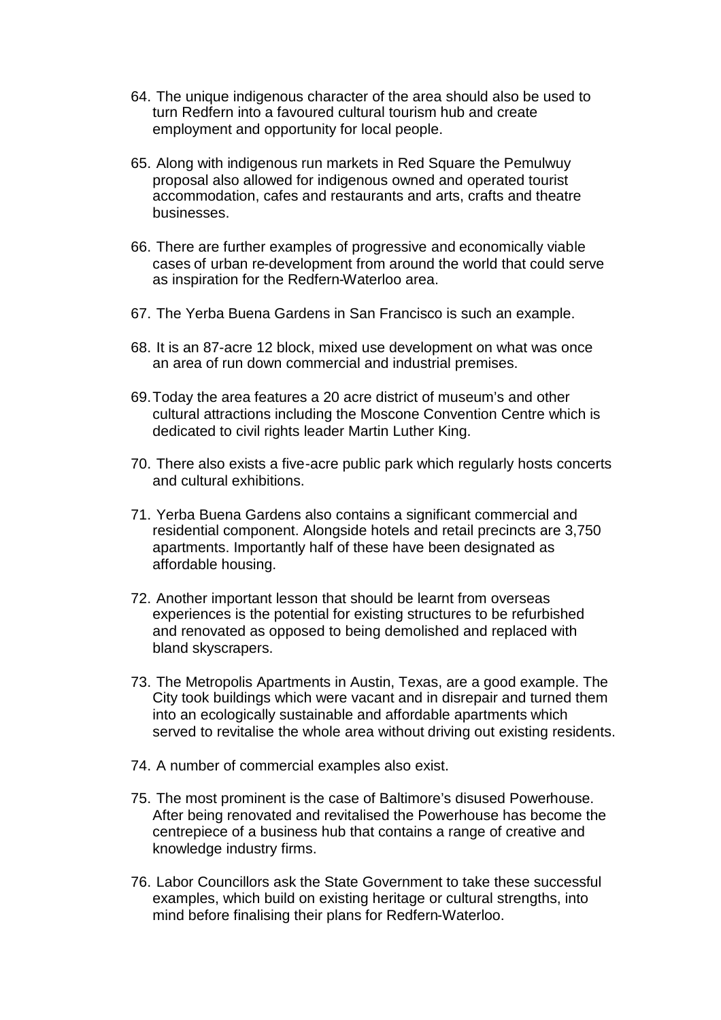- 64. The unique indigenous character of the area should also be used to turn Redfern into a favoured cultural tourism hub and create employment and opportunity for local people.
- 65. Along with indigenous run markets in Red Square the Pemulwuy proposal also allowed for indigenous owned and operated tourist accommodation, cafes and restaurants and arts, crafts and theatre businesses.
- 66. There are further examples of progressive and economically viable cases of urban re-development from around the world that could serve as inspiration for the Redfern-Waterloo area.
- 67. The Yerba Buena Gardens in San Francisco is such an example.
- 68. It is an 87-acre 12 block, mixed use development on what was once an area of run down commercial and industrial premises.
- 69.Today the area features a 20 acre district of museum's and other cultural attractions including the Moscone Convention Centre which is dedicated to civil rights leader Martin Luther King.
- 70. There also exists a five-acre public park which regularly hosts concerts and cultural exhibitions.
- 71. Yerba Buena Gardens also contains a significant commercial and residential component. Alongside hotels and retail precincts are 3,750 apartments. Importantly half of these have been designated as affordable housing.
- 72. Another important lesson that should be learnt from overseas experiences is the potential for existing structures to be refurbished and renovated as opposed to being demolished and replaced with bland skyscrapers.
- 73. The Metropolis Apartments in Austin, Texas, are a good example. The City took buildings which were vacant and in disrepair and turned them into an ecologically sustainable and affordable apartments which served to revitalise the whole area without driving out existing residents.
- 74. A number of commercial examples also exist.
- 75. The most prominent is the case of Baltimore's disused Powerhouse. After being renovated and revitalised the Powerhouse has become the centrepiece of a business hub that contains a range of creative and knowledge industry firms.
- 76. Labor Councillors ask the State Government to take these successful examples, which build on existing heritage or cultural strengths, into mind before finalising their plans for Redfern-Waterloo.